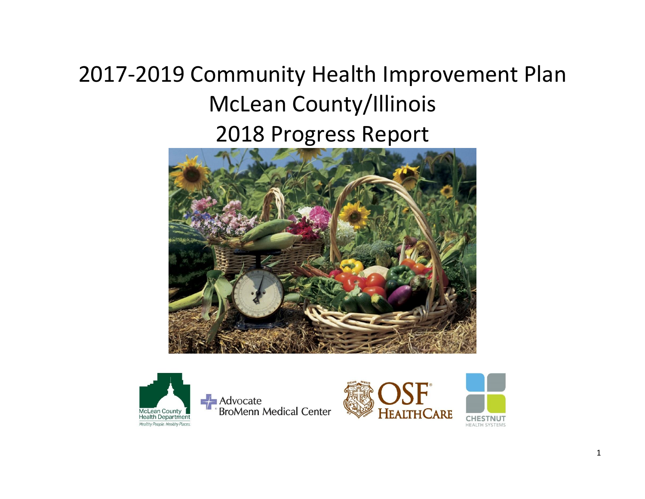# 2017-2019 Community Health Improvement Plan McLean County/Illinois 2018 Progress Report





**Advocate**<br>BroMenn Medical Center



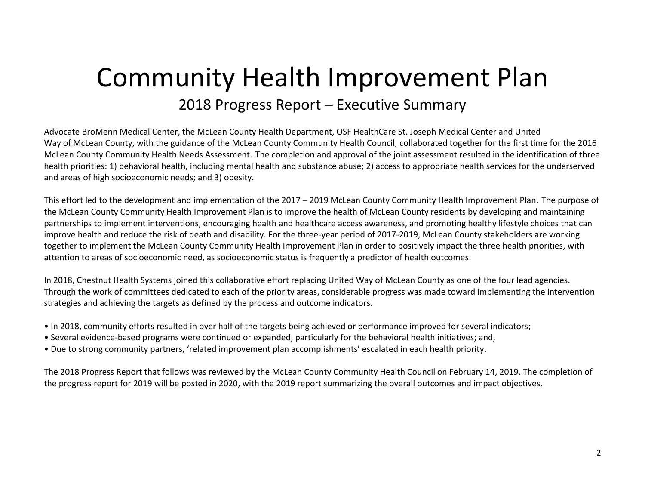## Community Health Improvement Plan 2018 Progress Report – Executive Summary

Advocate BroMenn Medical Center, the McLean County Health Department, OSF HealthCare St. Joseph Medical Center and United Way of McLean County, with the guidance of the McLean County Community Health Council, collaborated together for the first time for the 2016 McLean County Community Health Needs Assessment. The completion and approval of the joint assessment resulted in the identification of three health priorities: 1) behavioral health, including mental health and substance abuse; 2) access to appropriate health services for the underserved and areas of high socioeconomic needs; and 3) obesity.

This effort led to the development and implementation of the 2017 – 2019 McLean County Community Health Improvement Plan. The purpose of the McLean County Community Health Improvement Plan is to improve the health of McLean County residents by developing and maintaining partnerships to implement interventions, encouraging health and healthcare access awareness, and promoting healthy lifestyle choices that can improve health and reduce the risk of death and disability. For the three-year period of 2017-2019, McLean County stakeholders are working together to implement the McLean County Community Health Improvement Plan in order to positively impact the three health priorities, with attention to areas of socioeconomic need, as socioeconomic status is frequently a predictor of health outcomes.

In 2018, Chestnut Health Systems joined this collaborative effort replacing United Way of McLean County as one of the four lead agencies. Through the work of committees dedicated to each of the priority areas, considerable progress was made toward implementing the intervention strategies and achieving the targets as defined by the process and outcome indicators.

- In 2018, community efforts resulted in over half of the targets being achieved or performance improved for several indicators;
- Several evidence-based programs were continued or expanded, particularly for the behavioral health initiatives; and,
- Due to strong community partners, 'related improvement plan accomplishments' escalated in each health priority.

The 2018 Progress Report that follows was reviewed by the McLean County Community Health Council on February 14, 2019. The completion of the progress report for 2019 will be posted in 2020, with the 2019 report summarizing the overall outcomes and impact objectives.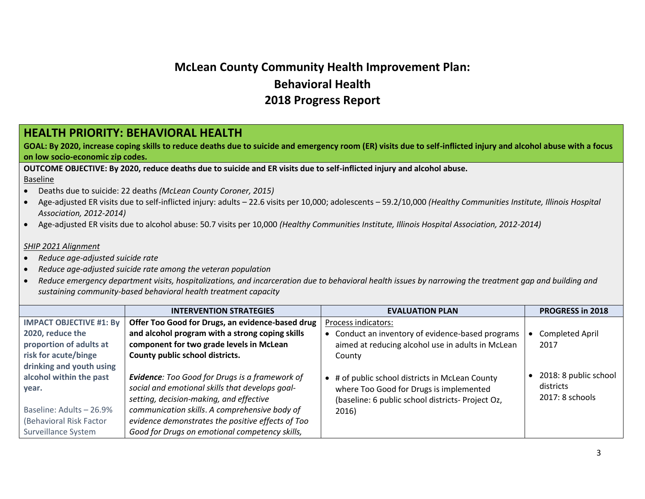## **McLean County Community Health Improvement Plan: Behavioral Health 2018 Progress Report**

#### **HEALTH PRIORITY: BEHAVIORAL HEALTH**

**GOAL: By 2020, increase coping skills to reduce deaths due to suicide and emergency room (ER) visits due to self-inflicted injury and alcohol abuse with a focus on low socio-economic zip codes.**

**OUTCOME OBJECTIVE: By 2020, reduce deaths due to suicide and ER visits due to self-inflicted injury and alcohol abuse.**

Baseline

- Deaths due to suicide: 22 deaths *(McLean County Coroner, 2015)*
- Age-adjusted ER visits due to self-inflicted injury: adults 22.6 visits per 10,000; adolescents 59.2/10,000 *(Healthy Communities Institute, Illinois Hospital Association, 2012-2014)*
- Age-adjusted ER visits due to alcohol abuse: 50.7 visits per 10,000 *(Healthy Communities Institute, Illinois Hospital Association, 2012-2014)*

#### *SHIP 2021 Alignment*

- *Reduce age-adjusted suicide rate*
- *Reduce age-adjusted suicide rate among the veteran population*
- *Reduce emergency department visits, hospitalizations, and incarceration due to behavioral health issues by narrowing the treatment gap and building and sustaining community-based behavioral health treatment capacity*

|                                | <b>INTERVENTION STRATEGIES</b>                        | <b>EVALUATION PLAN</b>                            | <b>PROGRESS in 2018</b> |
|--------------------------------|-------------------------------------------------------|---------------------------------------------------|-------------------------|
| <b>IMPACT OBJECTIVE #1: By</b> | Offer Too Good for Drugs, an evidence-based drug      | Process indicators:                               |                         |
| 2020, reduce the               | and alcohol program with a strong coping skills       | • Conduct an inventory of evidence-based programs | Completed April         |
| proportion of adults at        | component for two grade levels in McLean              | aimed at reducing alcohol use in adults in McLean | 2017                    |
| risk for acute/binge           | County public school districts.                       | County                                            |                         |
| drinking and youth using       |                                                       |                                                   |                         |
| alcohol within the past        | <b>Evidence:</b> Too Good for Drugs is a framework of | • # of public school districts in McLean County   | 2018: 8 public school   |
| year.                          | social and emotional skills that develops goal-       | where Too Good for Drugs is implemented           | districts               |
|                                | setting, decision-making, and effective               | (baseline: 6 public school districts- Project Oz, | $2017:8$ schools        |
| Baseline: Adults - 26.9%       | communication skills. A comprehensive body of         | 2016)                                             |                         |
| (Behavioral Risk Factor        | evidence demonstrates the positive effects of Too     |                                                   |                         |
| Surveillance System            | Good for Drugs on emotional competency skills,        |                                                   |                         |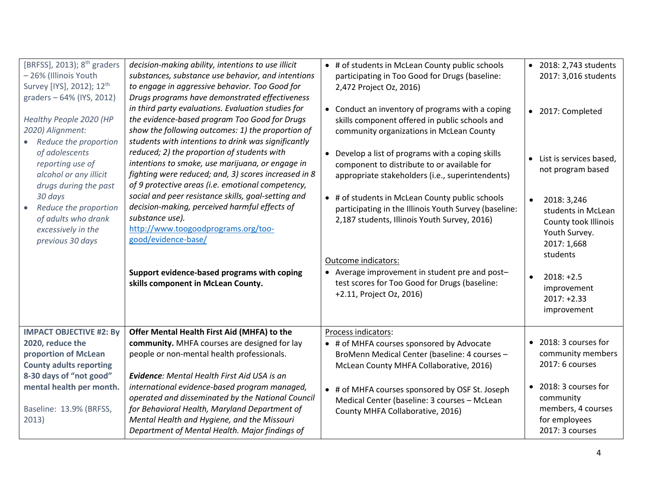| [BRFSS], 2013); 8 <sup>th</sup> graders<br>- 26% (Illinois Youth<br>Survey [IYS], 2012); 12 <sup>th</sup><br>graders - 64% (IYS, 2012) | decision-making ability, intentions to use illicit<br>substances, substance use behavior, and intentions<br>to engage in aggressive behavior. Too Good for<br>Drugs programs have demonstrated effectiveness<br>in third party evaluations. Evaluation studies for                                         | • # of students in McLean County public schools<br>participating in Too Good for Drugs (baseline:<br>2,472 Project Oz, 2016)<br>• Conduct an inventory of programs with a coping | • 2018: 2,743 students<br>2017: 3,016 students<br>2017: Completed<br>$\bullet$                                     |
|----------------------------------------------------------------------------------------------------------------------------------------|------------------------------------------------------------------------------------------------------------------------------------------------------------------------------------------------------------------------------------------------------------------------------------------------------------|----------------------------------------------------------------------------------------------------------------------------------------------------------------------------------|--------------------------------------------------------------------------------------------------------------------|
| Healthy People 2020 (HP<br>2020) Alignment:<br>Reduce the proportion                                                                   | the evidence-based program Too Good for Drugs<br>show the following outcomes: 1) the proportion of<br>students with intentions to drink was significantly                                                                                                                                                  | skills component offered in public schools and<br>community organizations in McLean County                                                                                       |                                                                                                                    |
| of adolescents<br>reporting use of<br>alcohol or any illicit<br>drugs during the past                                                  | reduced; 2) the proportion of students with<br>intentions to smoke, use marijuana, or engage in<br>fighting were reduced; and, 3) scores increased in 8<br>of 9 protective areas (i.e. emotional competency,                                                                                               | • Develop a list of programs with a coping skills<br>component to distribute to or available for<br>appropriate stakeholders (i.e., superintendents)                             | • List is services based,<br>not program based                                                                     |
| 30 days<br>Reduce the proportion<br>$\bullet$<br>of adults who drank<br>excessively in the<br>previous 30 days                         | social and peer resistance skills, goal-setting and<br>decision-making, perceived harmful effects of<br>substance use).<br>http://www.toogoodprograms.org/too-<br>good/evidence-base/                                                                                                                      | • # of students in McLean County public schools<br>participating in the Illinois Youth Survey (baseline:<br>2,187 students, Illinois Youth Survey, 2016)                         | $\bullet$<br>2018: 3,246<br>students in McLean<br>County took Illinois<br>Youth Survey.<br>2017: 1,668<br>students |
|                                                                                                                                        | Support evidence-based programs with coping<br>skills component in McLean County.                                                                                                                                                                                                                          | Outcome indicators:<br>• Average improvement in student pre and post-<br>test scores for Too Good for Drugs (baseline:<br>+2.11, Project Oz, 2016)                               | $2018: +2.5$<br>improvement<br>$2017: +2.33$<br>improvement                                                        |
| <b>IMPACT OBJECTIVE #2: By</b>                                                                                                         | Offer Mental Health First Aid (MHFA) to the                                                                                                                                                                                                                                                                | Process indicators:                                                                                                                                                              | • 2018: 3 courses for                                                                                              |
| 2020, reduce the<br>proportion of McLean                                                                                               | community. MHFA courses are designed for lay<br>people or non-mental health professionals.                                                                                                                                                                                                                 | • # of MHFA courses sponsored by Advocate<br>BroMenn Medical Center (baseline: 4 courses -                                                                                       | community members                                                                                                  |
| <b>County adults reporting</b>                                                                                                         |                                                                                                                                                                                                                                                                                                            | McLean County MHFA Collaborative, 2016)                                                                                                                                          | 2017: 6 courses                                                                                                    |
| 8-30 days of "not good"<br>mental health per month.<br>Baseline: 13.9% (BRFSS,<br>2013)                                                | <b>Evidence:</b> Mental Health First Aid USA is an<br>international evidence-based program managed,<br>operated and disseminated by the National Council<br>for Behavioral Health, Maryland Department of<br>Mental Health and Hygiene, and the Missouri<br>Department of Mental Health. Major findings of | • # of MHFA courses sponsored by OSF St. Joseph<br>Medical Center (baseline: 3 courses - McLean<br>County MHFA Collaborative, 2016)                                              | • 2018: 3 courses for<br>community<br>members, 4 courses<br>for employees<br>2017: 3 courses                       |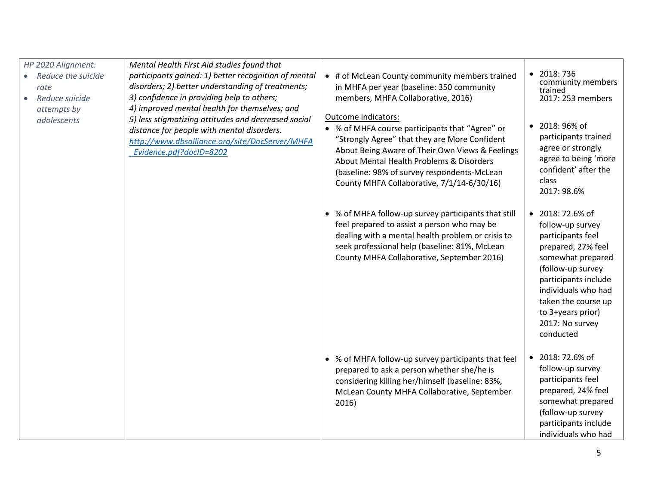| HP 2020 Alignment:<br>Mental Health First Aid studies found that<br>participants gained: 1) better recognition of mental<br>• Reduce the suicide<br>disorders; 2) better understanding of treatments;<br>rate<br>3) confidence in providing help to others;<br>Reduce suicide<br>4) improved mental health for themselves; and<br>attempts by<br>5) less stigmatizing attitudes and decreased social<br>adolescents<br>distance for people with mental disorders.<br>http://www.dbsalliance.org/site/DocServer/MHFA<br>Evidence.pdf?docID=8202 |                                                                                                                                                                                          | • # of McLean County community members trained<br>in MHFA per year (baseline: 350 community<br>members, MHFA Collaborative, 2016)<br>Outcome indicators:<br>• % of MHFA course participants that "Agree" or<br>"Strongly Agree" that they are More Confident | $\bullet$ 2018: 736<br>community members<br>trained<br>2017: 253 members<br>• 2018: 96% of<br>participants trained                                                                                                                                   |
|------------------------------------------------------------------------------------------------------------------------------------------------------------------------------------------------------------------------------------------------------------------------------------------------------------------------------------------------------------------------------------------------------------------------------------------------------------------------------------------------------------------------------------------------|------------------------------------------------------------------------------------------------------------------------------------------------------------------------------------------|--------------------------------------------------------------------------------------------------------------------------------------------------------------------------------------------------------------------------------------------------------------|------------------------------------------------------------------------------------------------------------------------------------------------------------------------------------------------------------------------------------------------------|
|                                                                                                                                                                                                                                                                                                                                                                                                                                                                                                                                                | About Being Aware of Their Own Views & Feelings<br>About Mental Health Problems & Disorders<br>(baseline: 98% of survey respondents-McLean<br>County MHFA Collaborative, 7/1/14-6/30/16) | agree or strongly<br>agree to being 'more<br>confident' after the<br>class<br>2017: 98.6%                                                                                                                                                                    |                                                                                                                                                                                                                                                      |
|                                                                                                                                                                                                                                                                                                                                                                                                                                                                                                                                                |                                                                                                                                                                                          | • % of MHFA follow-up survey participants that still<br>feel prepared to assist a person who may be<br>dealing with a mental health problem or crisis to<br>seek professional help (baseline: 81%, McLean<br>County MHFA Collaborative, September 2016)      | • 2018: 72.6% of<br>follow-up survey<br>participants feel<br>prepared, 27% feel<br>somewhat prepared<br>(follow-up survey<br>participants include<br>individuals who had<br>taken the course up<br>to 3+years prior)<br>2017: No survey<br>conducted |
|                                                                                                                                                                                                                                                                                                                                                                                                                                                                                                                                                |                                                                                                                                                                                          | • % of MHFA follow-up survey participants that feel<br>prepared to ask a person whether she/he is<br>considering killing her/himself (baseline: 83%,<br>McLean County MHFA Collaborative, September<br>2016)                                                 | • 2018: 72.6% of<br>follow-up survey<br>participants feel<br>prepared, 24% feel<br>somewhat prepared<br>(follow-up survey<br>participants include<br>individuals who had                                                                             |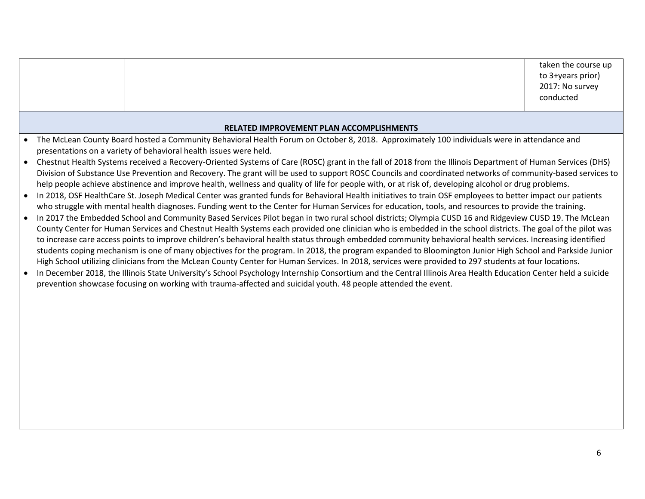|  |                                                                                                                |                                                                                                                                                                                                                                                                                                                        | taken the course up<br>to 3+years prior)<br>2017: No survey<br>conducted |
|--|----------------------------------------------------------------------------------------------------------------|------------------------------------------------------------------------------------------------------------------------------------------------------------------------------------------------------------------------------------------------------------------------------------------------------------------------|--------------------------------------------------------------------------|
|  |                                                                                                                |                                                                                                                                                                                                                                                                                                                        |                                                                          |
|  |                                                                                                                | <b>RELATED IMPROVEMENT PLAN ACCOMPLISHMENTS</b>                                                                                                                                                                                                                                                                        |                                                                          |
|  |                                                                                                                | • The McLean County Board hosted a Community Behavioral Health Forum on October 8, 2018. Approximately 100 individuals were in attendance and                                                                                                                                                                          |                                                                          |
|  | presentations on a variety of behavioral health issues were held.                                              |                                                                                                                                                                                                                                                                                                                        |                                                                          |
|  |                                                                                                                | Chestnut Health Systems received a Recovery-Oriented Systems of Care (ROSC) grant in the fall of 2018 from the Illinois Department of Human Services (DHS)                                                                                                                                                             |                                                                          |
|  |                                                                                                                | Division of Substance Use Prevention and Recovery. The grant will be used to support ROSC Councils and coordinated networks of community-based services to<br>help people achieve abstinence and improve health, wellness and quality of life for people with, or at risk of, developing alcohol or drug problems.     |                                                                          |
|  |                                                                                                                | In 2018, OSF HealthCare St. Joseph Medical Center was granted funds for Behavioral Health initiatives to train OSF employees to better impact our patients                                                                                                                                                             |                                                                          |
|  |                                                                                                                | who struggle with mental health diagnoses. Funding went to the Center for Human Services for education, tools, and resources to provide the training.                                                                                                                                                                  |                                                                          |
|  |                                                                                                                | In 2017 the Embedded School and Community Based Services Pilot began in two rural school districts; Olympia CUSD 16 and Ridgeview CUSD 19. The McLean                                                                                                                                                                  |                                                                          |
|  |                                                                                                                | County Center for Human Services and Chestnut Health Systems each provided one clinician who is embedded in the school districts. The goal of the pilot was                                                                                                                                                            |                                                                          |
|  |                                                                                                                | to increase care access points to improve children's behavioral health status through embedded community behavioral health services. Increasing identified<br>students coping mechanism is one of many objectives for the program. In 2018, the program expanded to Bloomington Junior High School and Parkside Junior |                                                                          |
|  |                                                                                                                | High School utilizing clinicians from the McLean County Center for Human Services. In 2018, services were provided to 297 students at four locations.                                                                                                                                                                  |                                                                          |
|  |                                                                                                                | In December 2018, the Illinois State University's School Psychology Internship Consortium and the Central Illinois Area Health Education Center held a suicide                                                                                                                                                         |                                                                          |
|  | prevention showcase focusing on working with trauma-affected and suicidal youth. 48 people attended the event. |                                                                                                                                                                                                                                                                                                                        |                                                                          |
|  |                                                                                                                |                                                                                                                                                                                                                                                                                                                        |                                                                          |
|  |                                                                                                                |                                                                                                                                                                                                                                                                                                                        |                                                                          |
|  |                                                                                                                |                                                                                                                                                                                                                                                                                                                        |                                                                          |
|  |                                                                                                                |                                                                                                                                                                                                                                                                                                                        |                                                                          |
|  |                                                                                                                |                                                                                                                                                                                                                                                                                                                        |                                                                          |
|  |                                                                                                                |                                                                                                                                                                                                                                                                                                                        |                                                                          |
|  |                                                                                                                |                                                                                                                                                                                                                                                                                                                        |                                                                          |
|  |                                                                                                                |                                                                                                                                                                                                                                                                                                                        |                                                                          |
|  |                                                                                                                |                                                                                                                                                                                                                                                                                                                        |                                                                          |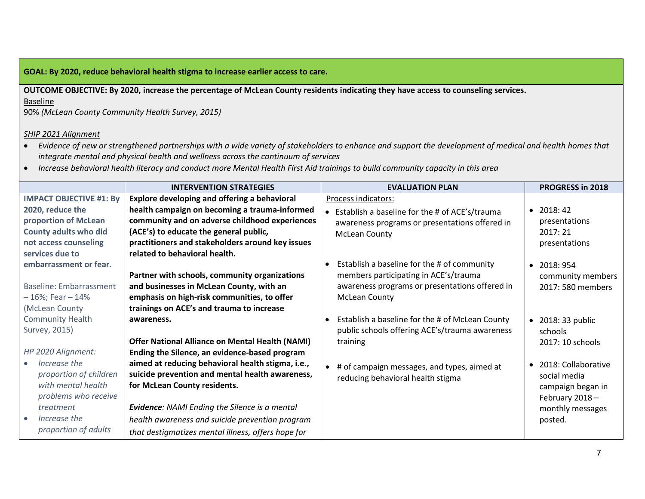**GOAL: By 2020, reduce behavioral health stigma to increase earlier access to care.**

**OUTCOME OBJECTIVE: By 2020, increase the percentage of McLean County residents indicating they have access to counseling services.**  Baseline

90% *(McLean County Community Health Survey, 2015)*

#### *SHIP 2021 Alignment*

- *Evidence of new or strengthened partnerships with a wide variety of stakeholders to enhance and support the development of medical and health homes that integrate mental and physical health and wellness across the continuum of services*
- *Increase behavioral health literacy and conduct more Mental Health First Aid trainings to build community capacity in this area*

|                                | <b>INTERVENTION STRATEGIES</b>                         | <b>EVALUATION PLAN</b>                           | <b>PROGRESS in 2018</b>          |
|--------------------------------|--------------------------------------------------------|--------------------------------------------------|----------------------------------|
| <b>IMPACT OBJECTIVE #1: By</b> | <b>Explore developing and offering a behavioral</b>    | Process indicators:                              |                                  |
| 2020, reduce the               | health campaign on becoming a trauma-informed          | • Establish a baseline for the # of ACE's/trauma | 2018:42<br>$\bullet$             |
| proportion of McLean           | community and on adverse childhood experiences         | awareness programs or presentations offered in   | presentations                    |
| County adults who did          | (ACE's) to educate the general public,                 | <b>McLean County</b>                             | 2017:21                          |
| not access counseling          | practitioners and stakeholders around key issues       |                                                  | presentations                    |
| services due to                | related to behavioral health.                          |                                                  |                                  |
| embarrassment or fear.         |                                                        | Establish a baseline for the # of community      | 2018: 954<br>$\bullet$           |
|                                | Partner with schools, community organizations          | members participating in ACE's/trauma            | community members                |
| Baseline: Embarrassment        | and businesses in McLean County, with an               | awareness programs or presentations offered in   | 2017: 580 members                |
| $-16\%$ ; Fear $-14\%$         | emphasis on high-risk communities, to offer            | <b>McLean County</b>                             |                                  |
| (McLean County                 | trainings on ACE's and trauma to increase              |                                                  |                                  |
| <b>Community Health</b>        | awareness.                                             | Establish a baseline for the # of McLean County  | 2018: 33 public<br>$\bullet$     |
| Survey, 2015)                  |                                                        | public schools offering ACE's/trauma awareness   | schools                          |
|                                | <b>Offer National Alliance on Mental Health (NAMI)</b> | training                                         | 2017: 10 schools                 |
| HP 2020 Alignment:             | Ending the Silence, an evidence-based program          |                                                  |                                  |
| Increase the                   | aimed at reducing behavioral health stigma, i.e.,      | # of campaign messages, and types, aimed at      | 2018: Collaborative<br>$\bullet$ |
| proportion of children         | suicide prevention and mental health awareness,        | reducing behavioral health stigma                | social media                     |
| with mental health             | for McLean County residents.                           |                                                  | campaign began in                |
| problems who receive           |                                                        |                                                  | February 2018-                   |
| treatment                      | <b>Evidence: NAMI Ending the Silence is a mental</b>   |                                                  | monthly messages                 |
| Increase the                   | health awareness and suicide prevention program        |                                                  | posted.                          |
| proportion of adults           | that destigmatizes mental illness, offers hope for     |                                                  |                                  |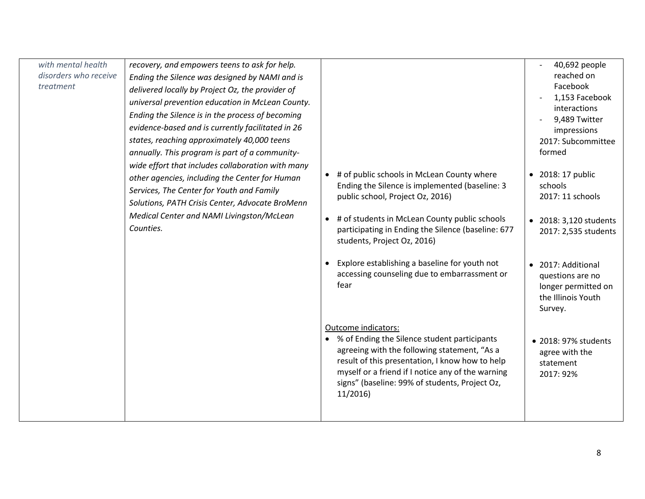| with mental health<br>disorders who receive<br>treatment | recovery, and empowers teens to ask for help.<br>Ending the Silence was designed by NAMI and is<br>delivered locally by Project Oz, the provider of<br>universal prevention education in McLean County.<br>Ending the Silence is in the process of becoming<br>evidence-based and is currently facilitated in 26<br>states, reaching approximately 40,000 teens<br>annually. This program is part of a community-<br>wide effort that includes collaboration with many<br>other agencies, including the Center for Human<br>Services, The Center for Youth and Family<br>Solutions, PATH Crisis Center, Advocate BroMenn<br>Medical Center and NAMI Livingston/McLean<br>Counties. | # of public schools in McLean County where<br>$\bullet$<br>Ending the Silence is implemented (baseline: 3<br>public school, Project Oz, 2016)<br># of students in McLean County public schools<br>$\bullet$<br>participating in Ending the Silence (baseline: 677<br>students, Project Oz, 2016)<br>Explore establishing a baseline for youth not<br>$\bullet$<br>accessing counseling due to embarrassment or<br>fear<br>Outcome indicators:<br>• % of Ending the Silence student participants<br>agreeing with the following statement, "As a<br>result of this presentation, I know how to help<br>myself or a friend if I notice any of the warning<br>signs" (baseline: 99% of students, Project Oz,<br>11/2016 | 40,692 people<br>reached on<br>Facebook<br>1,153 Facebook<br>interactions<br>9,489 Twitter<br>impressions<br>2017: Subcommittee<br>formed<br>• 2018: 17 public<br>schools<br>2017: 11 schools<br>• 2018: 3,120 students<br>2017: 2,535 students<br>• 2017: Additional<br>questions are no<br>longer permitted on<br>the Illinois Youth<br>Survey.<br>• 2018: 97% students<br>agree with the<br>statement<br>2017: 92% |
|----------------------------------------------------------|------------------------------------------------------------------------------------------------------------------------------------------------------------------------------------------------------------------------------------------------------------------------------------------------------------------------------------------------------------------------------------------------------------------------------------------------------------------------------------------------------------------------------------------------------------------------------------------------------------------------------------------------------------------------------------|----------------------------------------------------------------------------------------------------------------------------------------------------------------------------------------------------------------------------------------------------------------------------------------------------------------------------------------------------------------------------------------------------------------------------------------------------------------------------------------------------------------------------------------------------------------------------------------------------------------------------------------------------------------------------------------------------------------------|-----------------------------------------------------------------------------------------------------------------------------------------------------------------------------------------------------------------------------------------------------------------------------------------------------------------------------------------------------------------------------------------------------------------------|
|----------------------------------------------------------|------------------------------------------------------------------------------------------------------------------------------------------------------------------------------------------------------------------------------------------------------------------------------------------------------------------------------------------------------------------------------------------------------------------------------------------------------------------------------------------------------------------------------------------------------------------------------------------------------------------------------------------------------------------------------------|----------------------------------------------------------------------------------------------------------------------------------------------------------------------------------------------------------------------------------------------------------------------------------------------------------------------------------------------------------------------------------------------------------------------------------------------------------------------------------------------------------------------------------------------------------------------------------------------------------------------------------------------------------------------------------------------------------------------|-----------------------------------------------------------------------------------------------------------------------------------------------------------------------------------------------------------------------------------------------------------------------------------------------------------------------------------------------------------------------------------------------------------------------|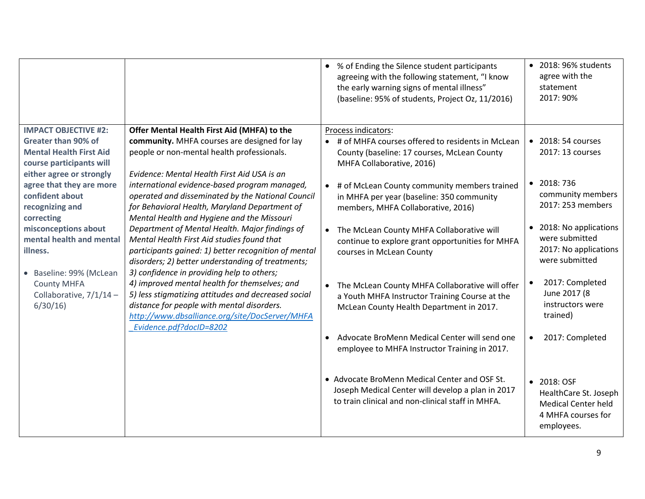|                                                                                               |                                                                                                                                                                                                                                                                               | • % of Ending the Silence student participants<br>agreeing with the following statement, "I know<br>the early warning signs of mental illness"<br>(baseline: 95% of students, Project Oz, 11/2016) | • 2018: 96% students<br>agree with the<br>statement<br>2017: 90%                                       |
|-----------------------------------------------------------------------------------------------|-------------------------------------------------------------------------------------------------------------------------------------------------------------------------------------------------------------------------------------------------------------------------------|----------------------------------------------------------------------------------------------------------------------------------------------------------------------------------------------------|--------------------------------------------------------------------------------------------------------|
| <b>IMPACT OBJECTIVE #2:</b><br>Greater than 90% of<br><b>Mental Health First Aid</b>          | Offer Mental Health First Aid (MHFA) to the<br>community. MHFA courses are designed for lay<br>people or non-mental health professionals.                                                                                                                                     | Process indicators:<br>• # of MHFA courses offered to residents in McLean<br>County (baseline: 17 courses, McLean County                                                                           | • 2018: 54 courses<br>2017: 13 courses                                                                 |
| course participants will<br>either agree or strongly                                          | Evidence: Mental Health First Aid USA is an                                                                                                                                                                                                                                   | MHFA Collaborative, 2016)                                                                                                                                                                          |                                                                                                        |
| agree that they are more<br>confident about<br>recognizing and<br>correcting                  | international evidence-based program managed,<br>operated and disseminated by the National Council<br>for Behavioral Health, Maryland Department of<br>Mental Health and Hygiene and the Missouri                                                                             | • # of McLean County community members trained<br>in MHFA per year (baseline: 350 community<br>members, MHFA Collaborative, 2016)                                                                  | $\bullet$ 2018:736<br>community members<br>2017: 253 members                                           |
| misconceptions about<br>mental health and mental<br>illness.                                  | Department of Mental Health. Major findings of<br>Mental Health First Aid studies found that<br>participants gained: 1) better recognition of mental<br>disorders; 2) better understanding of treatments;                                                                     | The McLean County MHFA Collaborative will<br>continue to explore grant opportunities for MHFA<br>courses in McLean County                                                                          | • 2018: No applications<br>were submitted<br>2017: No applications<br>were submitted                   |
| Baseline: 99% (McLean<br>$\bullet$<br><b>County MHFA</b><br>Collaborative, 7/1/14-<br>6/30/16 | 3) confidence in providing help to others;<br>4) improved mental health for themselves; and<br>5) less stigmatizing attitudes and decreased social<br>distance for people with mental disorders.<br>http://www.dbsalliance.org/site/DocServer/MHFA<br>Evidence.pdf?docID=8202 | • The McLean County MHFA Collaborative will offer<br>a Youth MHFA Instructor Training Course at the<br>McLean County Health Department in 2017.                                                    | 2017: Completed<br>June 2017 (8<br>instructors were<br>trained)                                        |
|                                                                                               |                                                                                                                                                                                                                                                                               | Advocate BroMenn Medical Center will send one<br>employee to MHFA Instructor Training in 2017.                                                                                                     | 2017: Completed<br>$\bullet$                                                                           |
|                                                                                               |                                                                                                                                                                                                                                                                               | • Advocate BroMenn Medical Center and OSF St.<br>Joseph Medical Center will develop a plan in 2017<br>to train clinical and non-clinical staff in MHFA.                                            | • 2018: OSF<br>HealthCare St. Joseph<br><b>Medical Center held</b><br>4 MHFA courses for<br>employees. |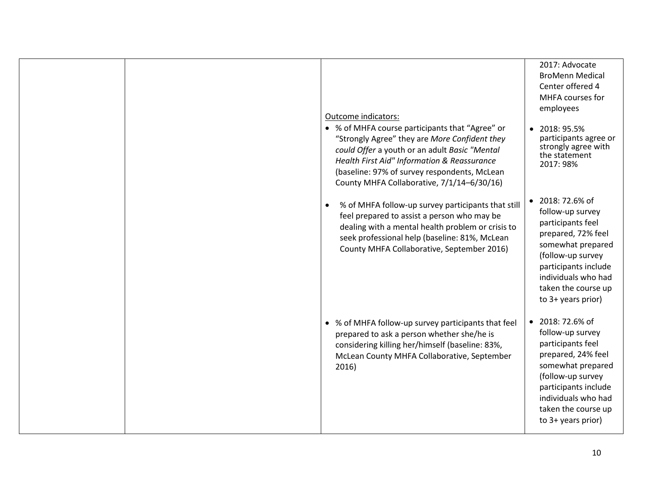|  | Outcome indicators:<br>• % of MHFA course participants that "Agree" or<br>"Strongly Agree" they are More Confident they<br>could Offer a youth or an adult Basic "Mental<br>Health First Aid" Information & Reassurance<br>(baseline: 97% of survey respondents, McLean<br>County MHFA Collaborative, 7/1/14-6/30/16) | 2017: Advocate<br><b>BroMenn Medical</b><br>Center offered 4<br>MHFA courses for<br>employees<br>$\bullet$ 2018: 95.5%<br>participants agree or<br>strongly agree with<br>the statement<br>2017: 98%                          |
|--|-----------------------------------------------------------------------------------------------------------------------------------------------------------------------------------------------------------------------------------------------------------------------------------------------------------------------|-------------------------------------------------------------------------------------------------------------------------------------------------------------------------------------------------------------------------------|
|  | % of MHFA follow-up survey participants that still<br>$\bullet$<br>feel prepared to assist a person who may be<br>dealing with a mental health problem or crisis to<br>seek professional help (baseline: 81%, McLean<br>County MHFA Collaborative, September 2016)                                                    | $\bullet$ 2018: 72.6% of<br>follow-up survey<br>participants feel<br>prepared, 72% feel<br>somewhat prepared<br>(follow-up survey<br>participants include<br>individuals who had<br>taken the course up<br>to 3+ years prior) |
|  | • % of MHFA follow-up survey participants that feel<br>prepared to ask a person whether she/he is<br>considering killing her/himself (baseline: 83%,<br>McLean County MHFA Collaborative, September<br>2016)                                                                                                          | $\bullet$ 2018: 72.6% of<br>follow-up survey<br>participants feel<br>prepared, 24% feel<br>somewhat prepared<br>(follow-up survey<br>participants include<br>individuals who had<br>taken the course up<br>to 3+ years prior) |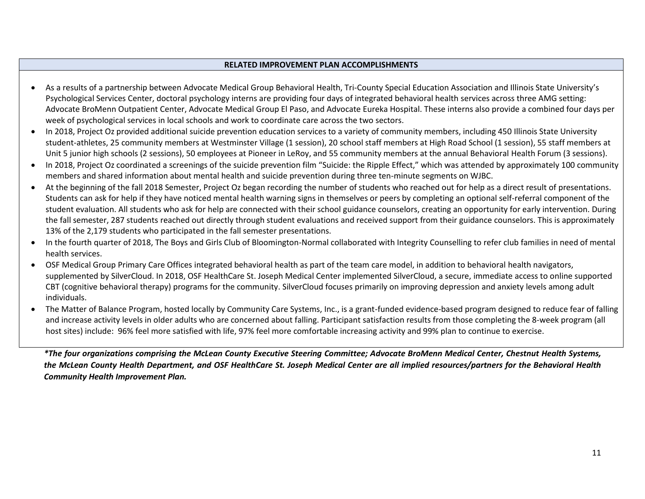#### **RELATED IMPROVEMENT PLAN ACCOMPLISHMENTS**

- As a results of a partnership between Advocate Medical Group Behavioral Health, Tri-County Special Education Association and Illinois State University's Psychological Services Center, doctoral psychology interns are providing four days of integrated behavioral health services across three AMG setting: Advocate BroMenn Outpatient Center, Advocate Medical Group El Paso, and Advocate Eureka Hospital. These interns also provide a combined four days per week of psychological services in local schools and work to coordinate care across the two sectors.
- In 2018, Project Oz provided additional suicide prevention education services to a variety of community members, including 450 Illinois State University student-athletes, 25 community members at Westminster Village (1 session), 20 school staff members at High Road School (1 session), 55 staff members at Unit 5 junior high schools (2 sessions), 50 employees at Pioneer in LeRoy, and 55 community members at the annual Behavioral Health Forum (3 sessions).
- In 2018, Proiect Oz coordinated a screenings of the suicide prevention film "Suicide: the Ripple Effect," which was attended by approximately 100 community members and shared information about mental health and suicide prevention during three ten-minute segments on WJBC.
- At the beginning of the fall 2018 Semester, Project Oz began recording the number of students who reached out for help as a direct result of presentations. Students can ask for help if they have noticed mental health warning signs in themselves or peers by completing an optional self-referral component of the student evaluation. All students who ask for help are connected with their school guidance counselors, creating an opportunity for early intervention. During the fall semester, 287 students reached out directly through student evaluations and received support from their guidance counselors. This is approximately 13% of the 2,179 students who participated in the fall semester presentations.
- In the fourth quarter of 2018, The Boys and Girls Club of Bloomington-Normal collaborated with Integrity Counselling to refer club families in need of mental health services.
- OSF Medical Group Primary Care Offices integrated behavioral health as part of the team care model, in addition to behavioral health navigators, supplemented by SilverCloud. In 2018, OSF HealthCare St. Joseph Medical Center implemented SilverCloud, a secure, immediate access to online supported CBT (cognitive behavioral therapy) programs for the community. SilverCloud focuses primarily on improving depression and anxiety levels among adult individuals.
- The Matter of Balance Program, hosted locally by Community Care Systems, Inc., is a grant-funded evidence-based program designed to reduce fear of falling and increase activity levels in older adults who are concerned about falling. Participant satisfaction results from those completing the 8-week program (all host sites) include: 96% feel more satisfied with life, 97% feel more comfortable increasing activity and 99% plan to continue to exercise.

*\*The four organizations comprising the McLean County Executive Steering Committee; Advocate BroMenn Medical Center, Chestnut Health Systems, the McLean County Health Department, and OSF HealthCare St. Joseph Medical Center are all implied resources/partners for the Behavioral Health Community Health Improvement Plan.*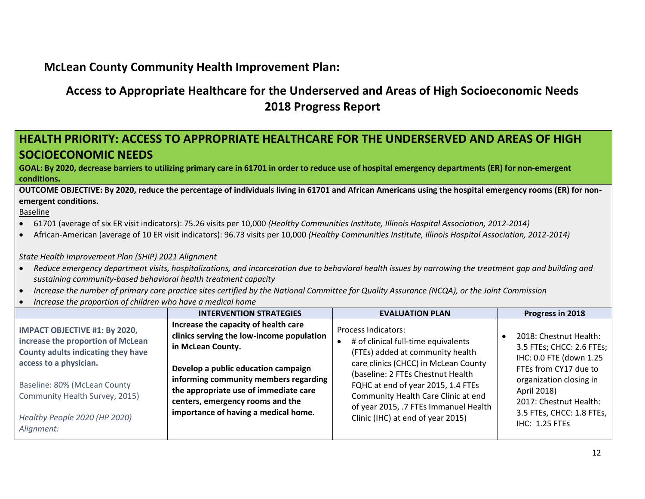### **McLean County Community Health Improvement Plan:**

## **Access to Appropriate Healthcare for the Underserved and Areas of High Socioeconomic Needs 2018 Progress Report**

#### **HEALTH PRIORITY: ACCESS TO APPROPRIATE HEALTHCARE FOR THE UNDERSERVED AND AREAS OF HIGH SOCIOECONOMIC NEEDS**

**GOAL: By 2020, decrease barriers to utilizing primary care in 61701 in order to reduce use of hospital emergency departments (ER) for non-emergent conditions.**

**OUTCOME OBJECTIVE: By 2020, reduce the percentage of individuals living in 61701 and African Americans using the hospital emergency rooms (ER) for nonemergent conditions.** 

Baseline

- 61701 (average of six ER visit indicators): 75.26 visits per 10,000 *(Healthy Communities Institute, Illinois Hospital Association, 2012-2014)*
- African-American (average of 10 ER visit indicators): 96.73 visits per 10,000 *(Healthy Communities Institute, Illinois Hospital Association, 2012-2014)*

#### *State Health Improvement Plan (SHIP) 2021 Alignment*

- *Reduce emergency department visits, hospitalizations, and incarceration due to behavioral health issues by narrowing the treatment gap and building and sustaining community-based behavioral health treatment capacity*
- *Increase the number of primary care practice sites certified by the National Committee for Quality Assurance (NCQA), or the Joint Commission*
- *Increase the proportion of children who have a medical home*

|                                                                                                                                                                                                                                                            | <b>INTERVENTION STRATEGIES</b>                                                                                                                                                                                                                                                                              | <b>EVALUATION PLAN</b>                                                                                                                                                                                                                                                                                                                 | Progress in 2018                                                                                                                                                                                                                  |
|------------------------------------------------------------------------------------------------------------------------------------------------------------------------------------------------------------------------------------------------------------|-------------------------------------------------------------------------------------------------------------------------------------------------------------------------------------------------------------------------------------------------------------------------------------------------------------|----------------------------------------------------------------------------------------------------------------------------------------------------------------------------------------------------------------------------------------------------------------------------------------------------------------------------------------|-----------------------------------------------------------------------------------------------------------------------------------------------------------------------------------------------------------------------------------|
| <b>IMPACT OBJECTIVE #1: By 2020,</b><br>increase the proportion of McLean<br>County adults indicating they have<br>access to a physician.<br>Baseline: 80% (McLean County<br>Community Health Survey, 2015)<br>Healthy People 2020 (HP 2020)<br>Alignment: | Increase the capacity of health care<br>clinics serving the low-income population<br>in McLean County.<br>Develop a public education campaign<br>informing community members regarding<br>the appropriate use of immediate care<br>centers, emergency rooms and the<br>importance of having a medical home. | Process Indicators:<br># of clinical full-time equivalents<br>(FTEs) added at community health<br>care clinics (CHCC) in McLean County<br>(baseline: 2 FTEs Chestnut Health<br>FQHC at end of year 2015, 1.4 FTEs<br>Community Health Care Clinic at end<br>of year 2015, .7 FTEs Immanuel Health<br>Clinic (IHC) at end of year 2015) | 2018: Chestnut Health:<br>3.5 FTEs; CHCC: 2.6 FTEs;<br>IHC: 0.0 FTE (down 1.25<br>FTEs from CY17 due to<br>organization closing in<br>April 2018)<br>2017: Chestnut Health:<br>3.5 FTEs, CHCC: 1.8 FTEs,<br><b>IHC: 1.25 FTEs</b> |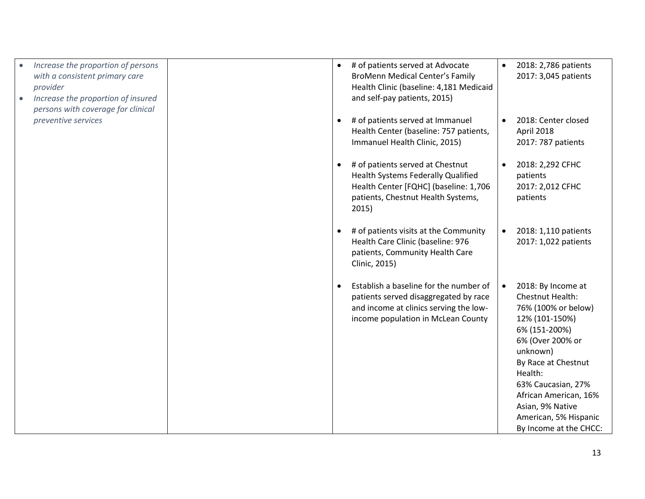| Increase the proportion of persons<br>with a consistent primary care<br>provider<br>Increase the proportion of insured<br>persons with coverage for clinical | # of patients served at Advocate<br>$\bullet$<br><b>BroMenn Medical Center's Family</b><br>Health Clinic (baseline: 4,181 Medicaid<br>and self-pay patients, 2015)                 | 2018: 2,786 patients<br>$\bullet$<br>2017: 3,045 patients                                                                                                                                                                                                                                             |
|--------------------------------------------------------------------------------------------------------------------------------------------------------------|------------------------------------------------------------------------------------------------------------------------------------------------------------------------------------|-------------------------------------------------------------------------------------------------------------------------------------------------------------------------------------------------------------------------------------------------------------------------------------------------------|
| preventive services                                                                                                                                          | # of patients served at Immanuel<br>$\bullet$<br>Health Center (baseline: 757 patients,<br>Immanuel Health Clinic, 2015)                                                           | 2018: Center closed<br>April 2018<br>2017: 787 patients                                                                                                                                                                                                                                               |
|                                                                                                                                                              | # of patients served at Chestnut<br>$\bullet$<br><b>Health Systems Federally Qualified</b><br>Health Center [FQHC] (baseline: 1,706<br>patients, Chestnut Health Systems,<br>2015) | 2018: 2,292 CFHC<br>patients<br>2017: 2,012 CFHC<br>patients                                                                                                                                                                                                                                          |
|                                                                                                                                                              | # of patients visits at the Community<br>$\bullet$<br>Health Care Clinic (baseline: 976<br>patients, Community Health Care<br>Clinic, 2015)                                        | 2018: 1,110 patients<br>$\bullet$<br>2017: 1,022 patients                                                                                                                                                                                                                                             |
|                                                                                                                                                              | Establish a baseline for the number of<br>$\bullet$<br>patients served disaggregated by race<br>and income at clinics serving the low-<br>income population in McLean County       | 2018: By Income at<br>$\bullet$<br>Chestnut Health:<br>76% (100% or below)<br>12% (101-150%)<br>6% (151-200%)<br>6% (Over 200% or<br>unknown)<br>By Race at Chestnut<br>Health:<br>63% Caucasian, 27%<br>African American, 16%<br>Asian, 9% Native<br>American, 5% Hispanic<br>By Income at the CHCC: |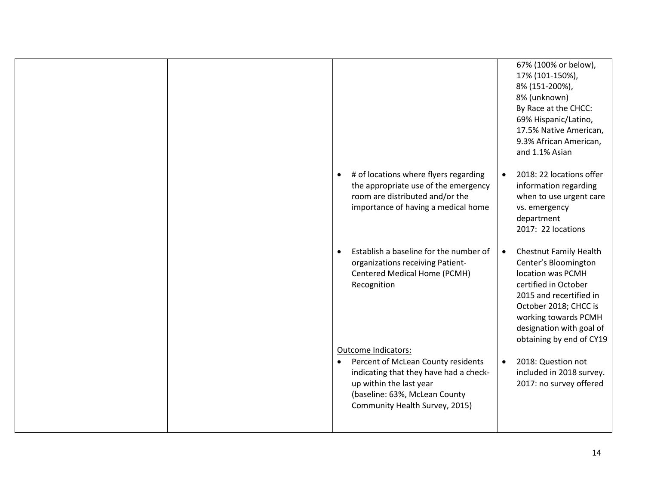|                                                                                                                                                                                         | 67% (100% or below),<br>17% (101-150%),<br>8% (151-200%),<br>8% (unknown)<br>By Race at the CHCC:<br>69% Hispanic/Latino,<br>17.5% Native American,<br>9.3% African American,<br>and 1.1% Asian                                                     |
|-----------------------------------------------------------------------------------------------------------------------------------------------------------------------------------------|-----------------------------------------------------------------------------------------------------------------------------------------------------------------------------------------------------------------------------------------------------|
| # of locations where flyers regarding<br>the appropriate use of the emergency<br>room are distributed and/or the<br>importance of having a medical home                                 | 2018: 22 locations offer<br>information regarding<br>when to use urgent care<br>vs. emergency<br>department<br>2017: 22 locations                                                                                                                   |
| Establish a baseline for the number of<br>organizations receiving Patient-<br>Centered Medical Home (PCMH)<br>Recognition<br>Outcome Indicators:                                        | <b>Chestnut Family Health</b><br>$\bullet$<br>Center's Bloomington<br>location was PCMH<br>certified in October<br>2015 and recertified in<br>October 2018; CHCC is<br>working towards PCMH<br>designation with goal of<br>obtaining by end of CY19 |
| Percent of McLean County residents<br>$\bullet$<br>indicating that they have had a check-<br>up within the last year<br>(baseline: 63%, McLean County<br>Community Health Survey, 2015) | 2018: Question not<br>$\bullet$<br>included in 2018 survey.<br>2017: no survey offered                                                                                                                                                              |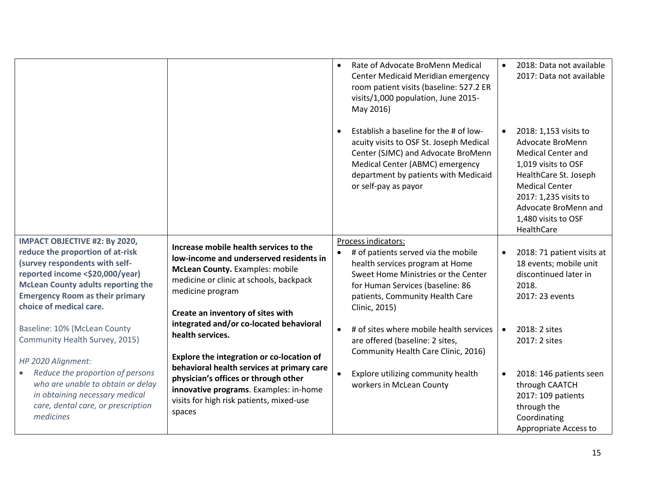|                                                                                                                                                                                                                                                          |                                                                                                                                                                                                                          | Rate of Advocate BroMenn Medical<br>$\bullet$<br>Center Medicaid Meridian emergency<br>room patient visits (baseline: 527.2 ER<br>visits/1,000 population, June 2015-<br>May 2016)<br>Establish a baseline for the # of low-<br>$\bullet$ | 2018: Data not available<br>2017: Data not available<br>2018: 1,153 visits to                                                                                                                                |
|----------------------------------------------------------------------------------------------------------------------------------------------------------------------------------------------------------------------------------------------------------|--------------------------------------------------------------------------------------------------------------------------------------------------------------------------------------------------------------------------|-------------------------------------------------------------------------------------------------------------------------------------------------------------------------------------------------------------------------------------------|--------------------------------------------------------------------------------------------------------------------------------------------------------------------------------------------------------------|
|                                                                                                                                                                                                                                                          |                                                                                                                                                                                                                          | acuity visits to OSF St. Joseph Medical<br>Center (SJMC) and Advocate BroMenn<br>Medical Center (ABMC) emergency<br>department by patients with Medicaid<br>or self-pay as payor                                                          | Advocate BroMenn<br><b>Medical Center and</b><br>1,019 visits to OSF<br>HealthCare St. Joseph<br><b>Medical Center</b><br>2017: 1,235 visits to<br>Advocate BroMenn and<br>1,480 visits to OSF<br>HealthCare |
| IMPACT OBJECTIVE #2: By 2020,<br>reduce the proportion of at-risk<br>(survey respondents with self-<br>reported income <\$20,000/year)<br><b>McLean County adults reporting the</b><br><b>Emergency Room as their primary</b><br>choice of medical care. | Increase mobile health services to the<br>low-income and underserved residents in<br>McLean County. Examples: mobile<br>medicine or clinic at schools, backpack<br>medicine program<br>Create an inventory of sites with | Process indicators:<br># of patients served via the mobile<br>$\bullet$<br>health services program at Home<br>Sweet Home Ministries or the Center<br>for Human Services (baseline: 86<br>patients, Community Health Care<br>Clinic, 2015) | 2018: 71 patient visits at<br>18 events; mobile unit<br>discontinued later in<br>2018.<br>2017: 23 events                                                                                                    |
| Baseline: 10% (McLean County<br>Community Health Survey, 2015)<br>HP 2020 Alignment:                                                                                                                                                                     | integrated and/or co-located behavioral<br>health services.<br>Explore the integration or co-location of                                                                                                                 | # of sites where mobile health services<br>$\bullet$<br>are offered (baseline: 2 sites,<br>Community Health Care Clinic, 2016)                                                                                                            | 2018: 2 sites<br>$\bullet$<br>2017: 2 sites                                                                                                                                                                  |
| Reduce the proportion of persons<br>$\bullet$<br>who are unable to obtain or delay<br>in obtaining necessary medical<br>care, dental care, or prescription<br>medicines                                                                                  | behavioral health services at primary care<br>physician's offices or through other<br>innovative programs. Examples: in-home<br>visits for high risk patients, mixed-use<br>spaces                                       | Explore utilizing community health<br>$\bullet$<br>workers in McLean County                                                                                                                                                               | 2018: 146 patients seen<br>through CAATCH<br>2017: 109 patients<br>through the<br>Coordinating<br>Appropriate Access to                                                                                      |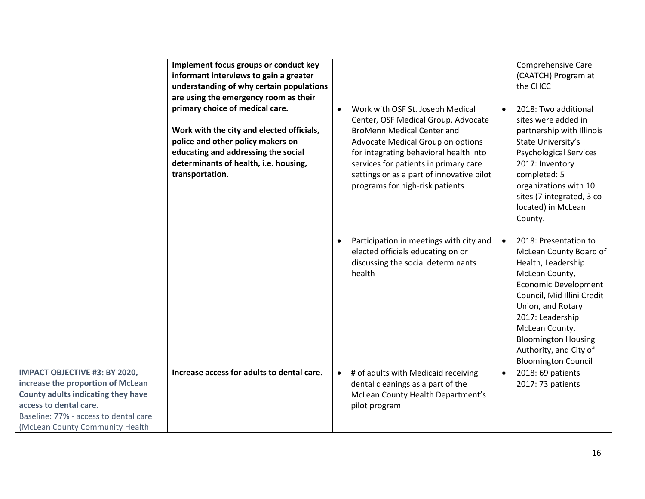|                                                                                                                                                                                                                       | Implement focus groups or conduct key<br>informant interviews to gain a greater<br>understanding of why certain populations<br>are using the emergency room as their<br>primary choice of medical care.<br>Work with the city and elected officials,<br>police and other policy makers on<br>educating and addressing the social<br>determinants of health, i.e. housing,<br>transportation. | $\bullet$ | Work with OSF St. Joseph Medical<br>Center, OSF Medical Group, Advocate<br><b>BroMenn Medical Center and</b><br>Advocate Medical Group on options<br>for integrating behavioral health into<br>services for patients in primary care<br>settings or as a part of innovative pilot<br>programs for high-risk patients | Comprehensive Care<br>(CAATCH) Program at<br>the CHCC<br>2018: Two additional<br>sites were added in<br>partnership with Illinois<br>State University's<br><b>Psychological Services</b><br>2017: Inventory<br>completed: 5<br>organizations with 10<br>sites (7 integrated, 3 co-<br>located) in McLean<br>County. |
|-----------------------------------------------------------------------------------------------------------------------------------------------------------------------------------------------------------------------|----------------------------------------------------------------------------------------------------------------------------------------------------------------------------------------------------------------------------------------------------------------------------------------------------------------------------------------------------------------------------------------------|-----------|----------------------------------------------------------------------------------------------------------------------------------------------------------------------------------------------------------------------------------------------------------------------------------------------------------------------|---------------------------------------------------------------------------------------------------------------------------------------------------------------------------------------------------------------------------------------------------------------------------------------------------------------------|
|                                                                                                                                                                                                                       |                                                                                                                                                                                                                                                                                                                                                                                              | $\bullet$ | Participation in meetings with city and<br>elected officials educating on or<br>discussing the social determinants<br>health                                                                                                                                                                                         | 2018: Presentation to<br>$\bullet$<br>McLean County Board of<br>Health, Leadership<br>McLean County,<br><b>Economic Development</b><br>Council, Mid Illini Credit<br>Union, and Rotary<br>2017: Leadership<br>McLean County,<br><b>Bloomington Housing</b><br>Authority, and City of<br><b>Bloomington Council</b>  |
| <b>IMPACT OBJECTIVE #3: BY 2020,</b><br>increase the proportion of McLean<br>County adults indicating they have<br>access to dental care.<br>Baseline: 77% - access to dental care<br>(McLean County Community Health | Increase access for adults to dental care.                                                                                                                                                                                                                                                                                                                                                   | $\bullet$ | # of adults with Medicaid receiving<br>dental cleanings as a part of the<br>McLean County Health Department's<br>pilot program                                                                                                                                                                                       | 2018: 69 patients<br>$\bullet$<br>2017: 73 patients                                                                                                                                                                                                                                                                 |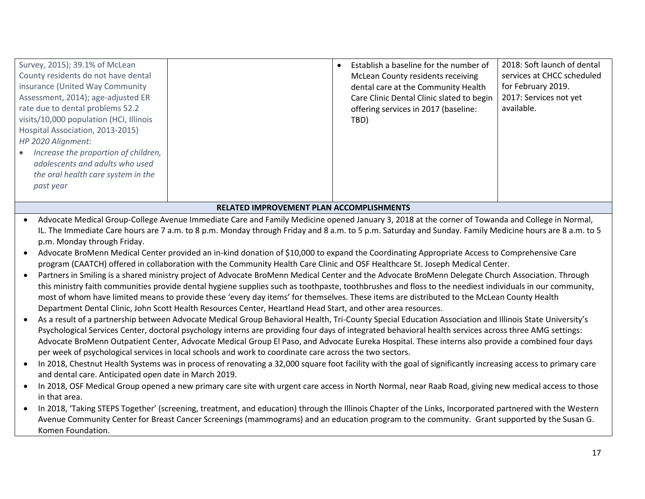| Survey, 2015); 39.1% of McLean<br>County residents do not have dental<br>insurance (United Way Community<br>Assessment, 2014); age-adjusted ER<br>rate due to dental problems 52.2<br>visits/10,000 population (HCI, Illinois<br>Hospital Association, 2013-2015)<br>HP 2020 Alignment:<br>• Increase the proportion of children,<br>adolescents and adults who used<br>the oral health care system in the<br>past year |                                                                                                                                                                                                                          | Establish a baseline for the number of<br><b>McLean County residents receiving</b><br>dental care at the Community Health<br>Care Clinic Dental Clinic slated to begin<br>offering services in 2017 (baseline:<br>TBD)                                                                                                                                                                                                                                                                                                                                                                                                                                                                                                                                                                                                                                                                                                                                                                                                                                                                                                                                                                                                                                                                                                                                                                                                                                                                                                                                                                                                                                                                                                                                                                                                                                                                                                                                                                                                                                                                                                                                                     | 2018: Soft launch of dental<br>services at CHCC scheduled<br>for February 2019.<br>2017: Services not yet<br>available. |
|-------------------------------------------------------------------------------------------------------------------------------------------------------------------------------------------------------------------------------------------------------------------------------------------------------------------------------------------------------------------------------------------------------------------------|--------------------------------------------------------------------------------------------------------------------------------------------------------------------------------------------------------------------------|----------------------------------------------------------------------------------------------------------------------------------------------------------------------------------------------------------------------------------------------------------------------------------------------------------------------------------------------------------------------------------------------------------------------------------------------------------------------------------------------------------------------------------------------------------------------------------------------------------------------------------------------------------------------------------------------------------------------------------------------------------------------------------------------------------------------------------------------------------------------------------------------------------------------------------------------------------------------------------------------------------------------------------------------------------------------------------------------------------------------------------------------------------------------------------------------------------------------------------------------------------------------------------------------------------------------------------------------------------------------------------------------------------------------------------------------------------------------------------------------------------------------------------------------------------------------------------------------------------------------------------------------------------------------------------------------------------------------------------------------------------------------------------------------------------------------------------------------------------------------------------------------------------------------------------------------------------------------------------------------------------------------------------------------------------------------------------------------------------------------------------------------------------------------------|-------------------------------------------------------------------------------------------------------------------------|
|                                                                                                                                                                                                                                                                                                                                                                                                                         | RELATED IMPROVEMENT PLAN ACCOMPLISHMENTS                                                                                                                                                                                 |                                                                                                                                                                                                                                                                                                                                                                                                                                                                                                                                                                                                                                                                                                                                                                                                                                                                                                                                                                                                                                                                                                                                                                                                                                                                                                                                                                                                                                                                                                                                                                                                                                                                                                                                                                                                                                                                                                                                                                                                                                                                                                                                                                            |                                                                                                                         |
| p.m. Monday through Friday.<br>and dental care. Anticipated open date in March 2019.<br>in that area.<br>Komen Foundation.                                                                                                                                                                                                                                                                                              | Department Dental Clinic, John Scott Health Resources Center, Heartland Head Start, and other area resources.<br>per week of psychological services in local schools and work to coordinate care across the two sectors. | Advocate Medical Group-College Avenue Immediate Care and Family Medicine opened January 3, 2018 at the corner of Towanda and College in Normal,<br>IL. The Immediate Care hours are 7 a.m. to 8 p.m. Monday through Friday and 8 a.m. to 5 p.m. Saturday and Sunday. Family Medicine hours are 8 a.m. to 5<br>Advocate BroMenn Medical Center provided an in-kind donation of \$10,000 to expand the Coordinating Appropriate Access to Comprehensive Care<br>program (CAATCH) offered in collaboration with the Community Health Care Clinic and OSF Healthcare St. Joseph Medical Center.<br>Partners in Smiling is a shared ministry project of Advocate BroMenn Medical Center and the Advocate BroMenn Delegate Church Association. Through<br>this ministry faith communities provide dental hygiene supplies such as toothpaste, toothbrushes and floss to the neediest individuals in our community,<br>most of whom have limited means to provide these 'every day items' for themselves. These items are distributed to the McLean County Health<br>As a result of a partnership between Advocate Medical Group Behavioral Health, Tri-County Special Education Association and Illinois State University's<br>Psychological Services Center, doctoral psychology interns are providing four days of integrated behavioral health services across three AMG settings:<br>Advocate BroMenn Outpatient Center, Advocate Medical Group El Paso, and Advocate Eureka Hospital. These interns also provide a combined four days<br>In 2018, Chestnut Health Systems was in process of renovating a 32,000 square foot facility with the goal of significantly increasing access to primary care<br>In 2018, OSF Medical Group opened a new primary care site with urgent care access in North Normal, near Raab Road, giving new medical access to those<br>In 2018, 'Taking STEPS Together' (screening, treatment, and education) through the Illinois Chapter of the Links, Incorporated partnered with the Western<br>Avenue Community Center for Breast Cancer Screenings (mammograms) and an education program to the community. Grant supported by the Susan G. |                                                                                                                         |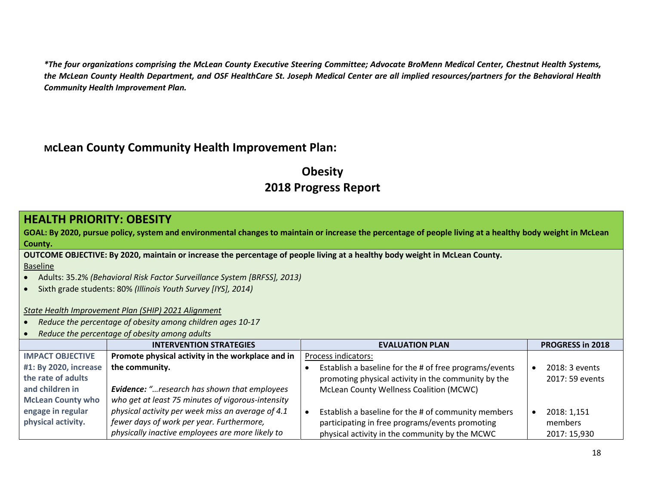*\*The four organizations comprising the McLean County Executive Steering Committee; Advocate BroMenn Medical Center, Chestnut Health Systems, the McLean County Health Department, and OSF HealthCare St. Joseph Medical Center are all implied resources/partners for the Behavioral Health Community Health Improvement Plan.*

### **McLean County Community Health Improvement Plan:**

## **Obesity 2018 Progress Report**

#### **HEALTH PRIORITY: OBESITY**

**GOAL: By 2020, pursue policy, system and environmental changes to maintain or increase the percentage of people living at a healthy body weight in McLean County.**

**OUTCOME OBJECTIVE: By 2020, maintain or increase the percentage of people living at a healthy body weight in McLean County.** Baseline

- Adults: 35.2% *(Behavioral Risk Factor Surveillance System [BRFSS], 2013)*
- Sixth grade students: 80% *(Illinois Youth Survey [IYS], 2014)*

*State Health Improvement Plan (SHIP) 2021 Alignment*

- *Reduce the percentage of obesity among children ages 10-17*
- *Reduce the percentage of obesity among adults*

|                          | <b>INTERVENTION STRATEGIES</b>                      | <b>EVALUATION PLAN</b>                                 | <b>PROGRESS in 2018</b> |
|--------------------------|-----------------------------------------------------|--------------------------------------------------------|-------------------------|
| <b>IMPACT OBJECTIVE</b>  | Promote physical activity in the workplace and in   | Process indicators:                                    |                         |
| #1: By 2020, increase    | the community.                                      | Establish a baseline for the # of free programs/events | 2018: 3 events          |
| the rate of adults       |                                                     | promoting physical activity in the community by the    | 2017: 59 events         |
| and children in          | <b>Evidence:</b> "research has shown that employees | McLean County Wellness Coalition (MCWC)                |                         |
| <b>McLean County who</b> | who get at least 75 minutes of vigorous-intensity   |                                                        |                         |
| engage in regular        | physical activity per week miss an average of 4.1   | Establish a baseline for the # of community members    | 2018: 1.151             |
| physical activity.       | fewer days of work per year. Furthermore,           | participating in free programs/events promoting        | members                 |
|                          | physically inactive employees are more likely to    | physical activity in the community by the MCWC         | 2017: 15,930            |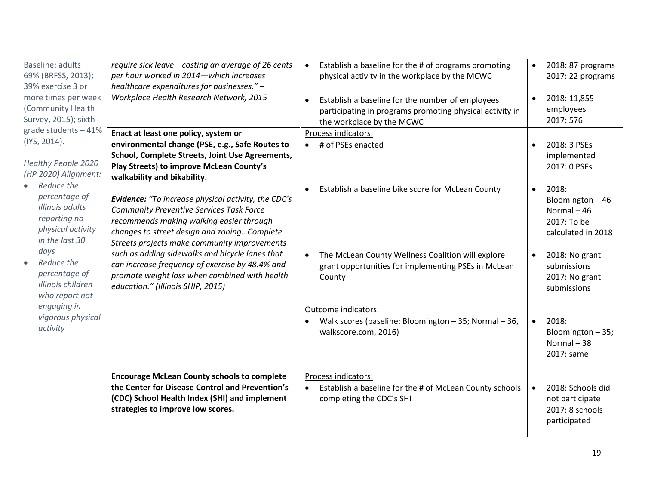| Baseline: adults -<br>69% (BRFSS, 2013);<br>39% exercise 3 or<br>more times per week<br>(Community Health<br>Survey, 2015); sixth | require sick leave-costing an average of 26 cents<br>per hour worked in 2014-which increases<br>healthcare expenditures for businesses." -<br>Workplace Health Research Network, 2015                                                                                                                | Establish a baseline for the # of programs promoting<br>$\bullet$<br>physical activity in the workplace by the MCWC<br>Establish a baseline for the number of employees<br>$\bullet$<br>participating in programs promoting physical activity in<br>the workplace by the MCWC | $\bullet$ | 2018: 87 programs<br>2017: 22 programs<br>2018: 11,855<br>employees<br>2017: 576            |
|-----------------------------------------------------------------------------------------------------------------------------------|------------------------------------------------------------------------------------------------------------------------------------------------------------------------------------------------------------------------------------------------------------------------------------------------------|-------------------------------------------------------------------------------------------------------------------------------------------------------------------------------------------------------------------------------------------------------------------------------|-----------|---------------------------------------------------------------------------------------------|
| grade students - 41%<br>(IYS, 2014).<br><b>Healthy People 2020</b><br>(HP 2020) Alignment:<br>Reduce the                          | Enact at least one policy, system or<br>environmental change (PSE, e.g., Safe Routes to<br>School, Complete Streets, Joint Use Agreements,<br>Play Streets) to improve McLean County's<br>walkability and bikability.                                                                                | Process indicators:<br># of PSEs enacted                                                                                                                                                                                                                                      | $\bullet$ | 2018: 3 PSEs<br>implemented<br>2017: 0 PSEs                                                 |
| percentage of<br>Illinois adults<br>reporting no<br>physical activity<br>in the last 30<br>days                                   | Evidence: "To increase physical activity, the CDC's<br><b>Community Preventive Services Task Force</b><br>recommends making walking easier through<br>changes to street design and zoningComplete<br>Streets projects make community improvements<br>such as adding sidewalks and bicycle lanes that | Establish a baseline bike score for McLean County<br>The McLean County Wellness Coalition will explore<br>$\bullet$                                                                                                                                                           | $\bullet$ | 2018:<br>Bloomington-46<br>Normal-46<br>2017: To be<br>calculated in 2018<br>2018: No grant |
| Reduce the<br>percentage of<br>Illinois children<br>who report not                                                                | can increase frequency of exercise by 48.4% and<br>promote weight loss when combined with health<br>education." (Illinois SHIP, 2015)                                                                                                                                                                | grant opportunities for implementing PSEs in McLean<br>County                                                                                                                                                                                                                 |           | submissions<br>2017: No grant<br>submissions                                                |
| engaging in<br>vigorous physical<br>activity                                                                                      |                                                                                                                                                                                                                                                                                                      | Outcome indicators:<br>Walk scores (baseline: Bloomington - 35; Normal - 36,<br>walkscore.com, 2016)                                                                                                                                                                          | $\bullet$ | 2018:<br>Bloomington - 35;<br>Normal-38<br>2017: same                                       |
|                                                                                                                                   | <b>Encourage McLean County schools to complete</b><br>the Center for Disease Control and Prevention's<br>(CDC) School Health Index (SHI) and implement<br>strategies to improve low scores.                                                                                                          | Process indicators:<br>Establish a baseline for the # of McLean County schools<br>completing the CDC's SHI                                                                                                                                                                    | $\bullet$ | 2018: Schools did<br>not participate<br>2017: 8 schools<br>participated                     |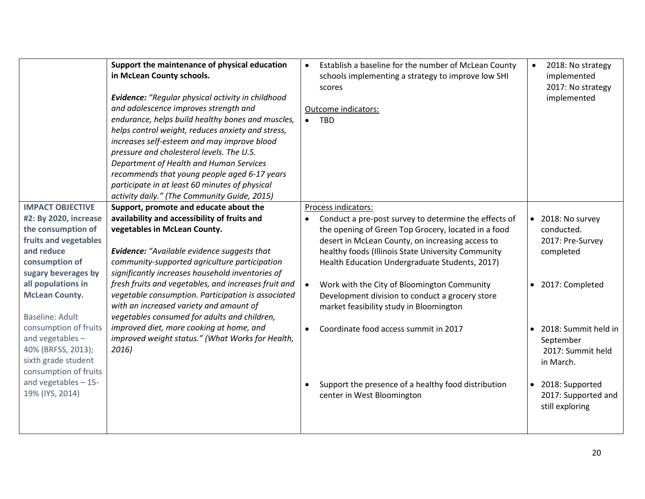|                                                                                                                                                                                                                                 | Support the maintenance of physical education<br>in McLean County schools.<br>Evidence: "Regular physical activity in childhood<br>and adolescence improves strength and<br>endurance, helps build healthy bones and muscles,<br>helps control weight, reduces anxiety and stress,<br>increases self-esteem and may improve blood<br>pressure and cholesterol levels. The U.S.<br>Department of Health and Human Services<br>recommends that young people aged 6-17 years<br>participate in at least 60 minutes of physical<br>activity daily." (The Community Guide, 2015) | $\bullet$ | Establish a baseline for the number of McLean County<br>schools implementing a strategy to improve low SHI<br>scores<br>Outcome indicators:<br><b>TBD</b>                                                                                                                                                                                                                                                                                    | $\bullet$ | 2018: No strategy<br>implemented<br>2017: No strategy<br>implemented                                                                 |
|---------------------------------------------------------------------------------------------------------------------------------------------------------------------------------------------------------------------------------|-----------------------------------------------------------------------------------------------------------------------------------------------------------------------------------------------------------------------------------------------------------------------------------------------------------------------------------------------------------------------------------------------------------------------------------------------------------------------------------------------------------------------------------------------------------------------------|-----------|----------------------------------------------------------------------------------------------------------------------------------------------------------------------------------------------------------------------------------------------------------------------------------------------------------------------------------------------------------------------------------------------------------------------------------------------|-----------|--------------------------------------------------------------------------------------------------------------------------------------|
| <b>IMPACT OBJECTIVE</b><br>#2: By 2020, increase<br>the consumption of<br>fruits and vegetables<br>and reduce<br>consumption of<br>sugary beverages by<br>all populations in<br><b>McLean County.</b><br><b>Baseline: Adult</b> | Support, promote and educate about the<br>availability and accessibility of fruits and<br>vegetables in McLean County.<br><b>Evidence:</b> "Available evidence suggests that<br>community-supported agriculture participation<br>significantly increases household inventories of<br>fresh fruits and vegetables, and increases fruit and<br>vegetable consumption. Participation is associated<br>with an increased variety and amount of<br>vegetables consumed for adults and children,                                                                                  |           | Process indicators:<br>Conduct a pre-post survey to determine the effects of<br>the opening of Green Top Grocery, located in a food<br>desert in McLean County, on increasing access to<br>healthy foods (Illinois State University Community<br>Health Education Undergraduate Students, 2017)<br>Work with the City of Bloomington Community<br>Development division to conduct a grocery store<br>market feasibility study in Bloomington |           | • 2018: No survey<br>conducted.<br>2017: Pre-Survey<br>completed<br>• 2017: Completed                                                |
| consumption of fruits<br>and vegetables -<br>40% (BRFSS, 2013);<br>sixth grade student<br>consumption of fruits<br>and vegetables $-15$ -<br>19% (IYS, 2014)                                                                    | improved diet, more cooking at home, and<br>improved weight status." (What Works for Health,<br>2016)                                                                                                                                                                                                                                                                                                                                                                                                                                                                       |           | Coordinate food access summit in 2017<br>Support the presence of a healthy food distribution<br>center in West Bloomington                                                                                                                                                                                                                                                                                                                   |           | • 2018: Summit held in<br>September<br>2017: Summit held<br>in March.<br>• 2018: Supported<br>2017: Supported and<br>still exploring |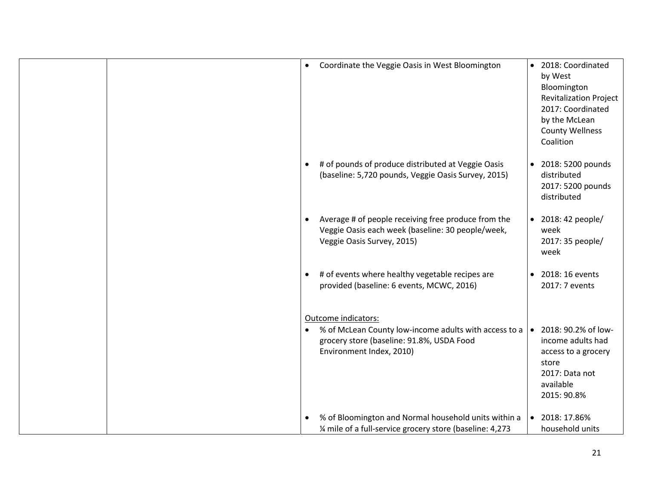|  | $\bullet$ | Coordinate the Veggie Oasis in West Bloomington                                                                                                       | $\bullet$ | 2018: Coordinated<br>by West<br>Bloomington<br><b>Revitalization Project</b><br>2017: Coordinated<br>by the McLean<br><b>County Wellness</b><br>Coalition |
|--|-----------|-------------------------------------------------------------------------------------------------------------------------------------------------------|-----------|-----------------------------------------------------------------------------------------------------------------------------------------------------------|
|  | $\bullet$ | # of pounds of produce distributed at Veggie Oasis<br>(baseline: 5,720 pounds, Veggie Oasis Survey, 2015)                                             | $\bullet$ | 2018: 5200 pounds<br>distributed<br>2017: 5200 pounds<br>distributed                                                                                      |
|  | $\bullet$ | Average # of people receiving free produce from the<br>Veggie Oasis each week (baseline: 30 people/week,<br>Veggie Oasis Survey, 2015)                | $\bullet$ | 2018: 42 people/<br>week<br>2017: 35 people/<br>week                                                                                                      |
|  | $\bullet$ | # of events where healthy vegetable recipes are<br>provided (baseline: 6 events, MCWC, 2016)                                                          | $\bullet$ | 2018: 16 events<br>2017: 7 events                                                                                                                         |
|  | $\bullet$ | Outcome indicators:<br>% of McLean County low-income adults with access to a<br>grocery store (baseline: 91.8%, USDA Food<br>Environment Index, 2010) | $\bullet$ | 2018: 90.2% of low-<br>income adults had<br>access to a grocery<br>store<br>2017: Data not<br>available<br>2015: 90.8%                                    |
|  | $\bullet$ | % of Bloomington and Normal household units within a<br>1/4 mile of a full-service grocery store (baseline: 4,273                                     | $\bullet$ | 2018: 17.86%<br>household units                                                                                                                           |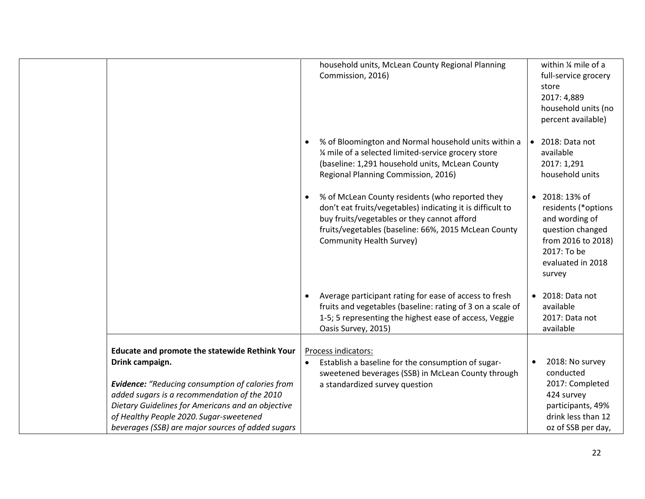|                 |                                                                                                                                                                                                                                                                                                                |           | household units, McLean County Regional Planning<br>Commission, 2016)                                                                                                                                                                            |           | within % mile of a<br>full-service grocery<br>store<br>2017: 4,889<br>household units (no<br>percent available)                               |
|-----------------|----------------------------------------------------------------------------------------------------------------------------------------------------------------------------------------------------------------------------------------------------------------------------------------------------------------|-----------|--------------------------------------------------------------------------------------------------------------------------------------------------------------------------------------------------------------------------------------------------|-----------|-----------------------------------------------------------------------------------------------------------------------------------------------|
|                 |                                                                                                                                                                                                                                                                                                                | $\bullet$ | % of Bloomington and Normal household units within a<br>1⁄4 mile of a selected limited-service grocery store<br>(baseline: 1,291 household units, McLean County<br>Regional Planning Commission, 2016)                                           | $\bullet$ | 2018: Data not<br>available<br>2017: 1,291<br>household units                                                                                 |
|                 |                                                                                                                                                                                                                                                                                                                | $\bullet$ | % of McLean County residents (who reported they<br>don't eat fruits/vegetables) indicating it is difficult to<br>buy fruits/vegetables or they cannot afford<br>fruits/vegetables (baseline: 66%, 2015 McLean County<br>Community Health Survey) | $\bullet$ | 2018: 13% of<br>residents (*options<br>and wording of<br>question changed<br>from 2016 to 2018)<br>2017: To be<br>evaluated in 2018<br>survey |
|                 |                                                                                                                                                                                                                                                                                                                |           | Average participant rating for ease of access to fresh<br>fruits and vegetables (baseline: rating of 3 on a scale of<br>1-5; 5 representing the highest ease of access, Veggie<br>Oasis Survey, 2015)                                            | $\bullet$ | 2018: Data not<br>available<br>2017: Data not<br>available                                                                                    |
| Drink campaign. | <b>Educate and promote the statewide Rethink Your</b><br>Evidence: "Reducing consumption of calories from<br>added sugars is a recommendation of the 2010<br>Dietary Guidelines for Americans and an objective<br>of Healthy People 2020. Sugar-sweetened<br>beverages (SSB) are major sources of added sugars |           | Process indicators:<br>Establish a baseline for the consumption of sugar-<br>sweetened beverages (SSB) in McLean County through<br>a standardized survey question                                                                                |           | 2018: No survey<br>conducted<br>2017: Completed<br>424 survey<br>participants, 49%<br>drink less than 12<br>oz of SSB per day,                |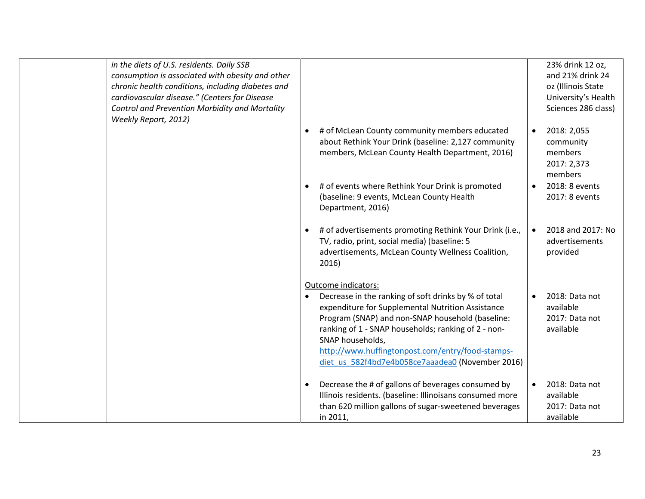| in the diets of U.S. residents. Daily SSB<br>consumption is associated with obesity and other<br>chronic health conditions, including diabetes and<br>cardiovascular disease." (Centers for Disease<br>Control and Prevention Morbidity and Mortality<br>Weekly Report, 2012) |                                                                                                                                                                                                                                                                                                                                                                         | 23% drink 12 oz,<br>and 21% drink 24<br>oz (Illinois State<br>University's Health<br>Sciences 286 class) |
|-------------------------------------------------------------------------------------------------------------------------------------------------------------------------------------------------------------------------------------------------------------------------------|-------------------------------------------------------------------------------------------------------------------------------------------------------------------------------------------------------------------------------------------------------------------------------------------------------------------------------------------------------------------------|----------------------------------------------------------------------------------------------------------|
|                                                                                                                                                                                                                                                                               | # of McLean County community members educated<br>$\bullet$<br>about Rethink Your Drink (baseline: 2,127 community<br>members, McLean County Health Department, 2016)                                                                                                                                                                                                    | 2018: 2,055<br>$\bullet$<br>community<br>members<br>2017: 2,373<br>members                               |
|                                                                                                                                                                                                                                                                               | # of events where Rethink Your Drink is promoted<br>$\bullet$<br>(baseline: 9 events, McLean County Health<br>Department, 2016)                                                                                                                                                                                                                                         | 2018: 8 events<br>$\bullet$<br>2017: 8 events                                                            |
|                                                                                                                                                                                                                                                                               | # of advertisements promoting Rethink Your Drink (i.e.,<br>$\bullet$<br>TV, radio, print, social media) (baseline: 5<br>advertisements, McLean County Wellness Coalition,<br>2016)                                                                                                                                                                                      | 2018 and 2017: No<br>advertisements<br>provided                                                          |
|                                                                                                                                                                                                                                                                               | Outcome indicators:<br>Decrease in the ranking of soft drinks by % of total<br>expenditure for Supplemental Nutrition Assistance<br>Program (SNAP) and non-SNAP household (baseline:<br>ranking of 1 - SNAP households; ranking of 2 - non-<br>SNAP households,<br>http://www.huffingtonpost.com/entry/food-stamps-<br>diet_us_582f4bd7e4b058ce7aaadea0 (November 2016) | 2018: Data not<br>$\bullet$<br>available<br>2017: Data not<br>available                                  |
|                                                                                                                                                                                                                                                                               | Decrease the # of gallons of beverages consumed by<br>$\bullet$<br>Illinois residents. (baseline: Illinoisans consumed more<br>than 620 million gallons of sugar-sweetened beverages<br>in 2011,                                                                                                                                                                        | 2018: Data not<br>$\bullet$<br>available<br>2017: Data not<br>available                                  |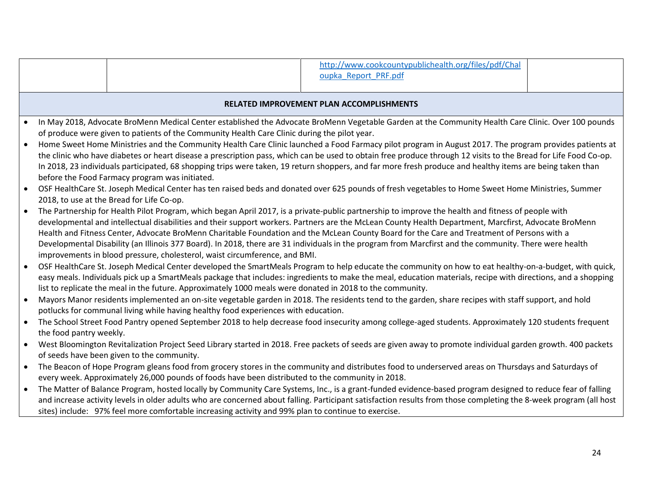|           |                                          |                                                                                                           | http://www.cookcountypublichealth.org/files/pdf/Chal                                                                                                              |    |  |  |  |  |
|-----------|------------------------------------------|-----------------------------------------------------------------------------------------------------------|-------------------------------------------------------------------------------------------------------------------------------------------------------------------|----|--|--|--|--|
|           |                                          |                                                                                                           | oupka Report PRF.pdf                                                                                                                                              |    |  |  |  |  |
|           |                                          |                                                                                                           |                                                                                                                                                                   |    |  |  |  |  |
|           | RELATED IMPROVEMENT PLAN ACCOMPLISHMENTS |                                                                                                           |                                                                                                                                                                   |    |  |  |  |  |
|           |                                          |                                                                                                           | In May 2018, Advocate BroMenn Medical Center established the Advocate BroMenn Vegetable Garden at the Community Health Care Clinic. Over 100 pounds               |    |  |  |  |  |
|           |                                          | of produce were given to patients of the Community Health Care Clinic during the pilot year.              |                                                                                                                                                                   |    |  |  |  |  |
|           |                                          |                                                                                                           | Home Sweet Home Ministries and the Community Health Care Clinic launched a Food Farmacy pilot program in August 2017. The program provides patients at            |    |  |  |  |  |
|           |                                          |                                                                                                           | the clinic who have diabetes or heart disease a prescription pass, which can be used to obtain free produce through 12 visits to the Bread for Life Food Co-op.   |    |  |  |  |  |
|           |                                          |                                                                                                           | In 2018, 23 individuals participated, 68 shopping trips were taken, 19 return shoppers, and far more fresh produce and healthy items are being taken than         |    |  |  |  |  |
|           |                                          | before the Food Farmacy program was initiated.                                                            |                                                                                                                                                                   |    |  |  |  |  |
|           |                                          |                                                                                                           | OSF HealthCare St. Joseph Medical Center has ten raised beds and donated over 625 pounds of fresh vegetables to Home Sweet Home Ministries, Summer                |    |  |  |  |  |
|           |                                          | 2018, to use at the Bread for Life Co-op.                                                                 |                                                                                                                                                                   |    |  |  |  |  |
|           |                                          |                                                                                                           | The Partnership for Health Pilot Program, which began April 2017, is a private-public partnership to improve the health and fitness of people with                |    |  |  |  |  |
|           |                                          |                                                                                                           | developmental and intellectual disabilities and their support workers. Partners are the McLean County Health Department, Marcfirst, Advocate BroMenn              |    |  |  |  |  |
|           |                                          |                                                                                                           | Health and Fitness Center, Advocate BroMenn Charitable Foundation and the McLean County Board for the Care and Treatment of Persons with a                        |    |  |  |  |  |
|           |                                          |                                                                                                           | Developmental Disability (an Illinois 377 Board). In 2018, there are 31 individuals in the program from Marcfirst and the community. There were health            |    |  |  |  |  |
|           |                                          | improvements in blood pressure, cholesterol, waist circumference, and BMI.                                |                                                                                                                                                                   |    |  |  |  |  |
|           |                                          |                                                                                                           | OSF HealthCare St. Joseph Medical Center developed the SmartMeals Program to help educate the community on how to eat healthy-on-a-budget, with quick,            |    |  |  |  |  |
|           |                                          |                                                                                                           | easy meals. Individuals pick up a SmartMeals package that includes: ingredients to make the meal, education materials, recipe with directions, and a shopping     |    |  |  |  |  |
|           |                                          | list to replicate the meal in the future. Approximately 1000 meals were donated in 2018 to the community. |                                                                                                                                                                   |    |  |  |  |  |
| $\bullet$ |                                          |                                                                                                           | Mayors Manor residents implemented an on-site vegetable garden in 2018. The residents tend to the garden, share recipes with staff support, and hold              |    |  |  |  |  |
|           |                                          | potlucks for communal living while having healthy food experiences with education.                        |                                                                                                                                                                   |    |  |  |  |  |
| $\bullet$ |                                          |                                                                                                           | The School Street Food Pantry opened September 2018 to help decrease food insecurity among college-aged students. Approximately 120 students frequent             |    |  |  |  |  |
|           | the food pantry weekly.                  |                                                                                                           |                                                                                                                                                                   |    |  |  |  |  |
| $\bullet$ |                                          |                                                                                                           | West Bloomington Revitalization Project Seed Library started in 2018. Free packets of seeds are given away to promote individual garden growth. 400 packets       |    |  |  |  |  |
|           |                                          | of seeds have been given to the community.                                                                |                                                                                                                                                                   |    |  |  |  |  |
| $\bullet$ |                                          |                                                                                                           | The Beacon of Hope Program gleans food from grocery stores in the community and distributes food to underserved areas on Thursdays and Saturdays of               |    |  |  |  |  |
|           |                                          | every week. Approximately 26,000 pounds of foods have been distributed to the community in 2018.          |                                                                                                                                                                   |    |  |  |  |  |
|           |                                          |                                                                                                           | The Matter of Balance Program, hosted locally by Community Care Systems, Inc., is a grant-funded evidence-based program designed to reduce fear of falling        |    |  |  |  |  |
|           |                                          |                                                                                                           | and increase activity levels in older adults who are concerned about falling. Participant satisfaction results from those completing the 8-week program (all host |    |  |  |  |  |
|           |                                          | sites) include: 97% feel more comfortable increasing activity and 99% plan to continue to exercise.       |                                                                                                                                                                   |    |  |  |  |  |
|           |                                          |                                                                                                           |                                                                                                                                                                   |    |  |  |  |  |
|           |                                          |                                                                                                           |                                                                                                                                                                   |    |  |  |  |  |
|           |                                          |                                                                                                           |                                                                                                                                                                   | 24 |  |  |  |  |
|           |                                          |                                                                                                           |                                                                                                                                                                   |    |  |  |  |  |